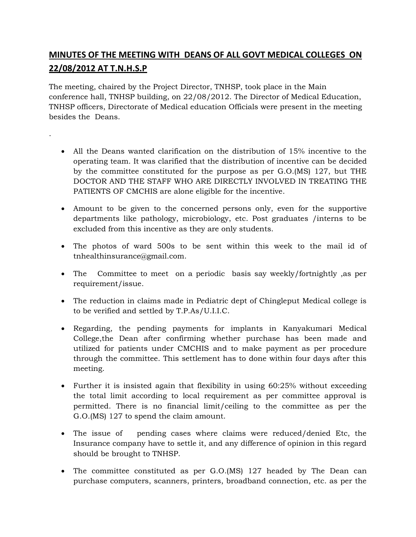MINUTES OF THE MEDETAINISSA DOUGHOUT MEDICAL COLLEGE 22/08/2012 AT T.N.H.S.P

The meeting, chaired by the Project Director, TNHSP, took place in the Maintenan conference hall, TNHSP building, on 22/08/2012. The Director of Medical TNHS@fficeDsirectorate of Medical education Officials were present in besides the Deans.

.

- ð. All the Deans wanted clarification on the distribution of 15% i operating team. It was clarified that the distribution contidention to the can be can be cannot in by the committee constituted for the purpose as per G.O.(MS) DOCTOR AND THE STAFF WHO ARE DIRECTLY INVOLVED IN TR PATIENTS OF CMCHIS are alone eligible for the incentive.
- $\delta$ · Amount to be given to the concerned persions tho enly up opertive departments like pathology, microbiology, etc. Post graduates excluded from this incentive as they are only students.
- ð. The photos of ward 500s to be sent within this week to th [tnhealthinsurance@g](mailto:tnhealthinsurance@gmail.com)mail.com.
- ð The Committee to meet on a periodic basis say weekly/fort requirement/issue.
- ð. The reduction in claims made in Pediatric dept of Chingleput M to be verified and settled by T.P.As/U.I.I.C.
- ð Regarding, the pending paymmentas ttorin Kanyakumari Medical College, the Dean after confirming whether purchase has been utilized for patients under CMCHIS and to make payment as p through the committee. This settlement has to done within four  $m$ e eing.
- ð. Further it is insisted again that flexibility in using 60:25% with the total limit according to local requirement as per committ permitted. There is no financial limit/ceiling to the committe  $G.O.(MS)$  127 to the contribution amount.
- ð The issue of pending cases where claims were reduced/de Insurance company have to settle it, and any difference of opini should be brought to TNHSP.
- $\delta$ · The committee constituted as per G.O.(MS) The 27D ehaenad cead nby purchase computers, scanners, printers, broadband connection,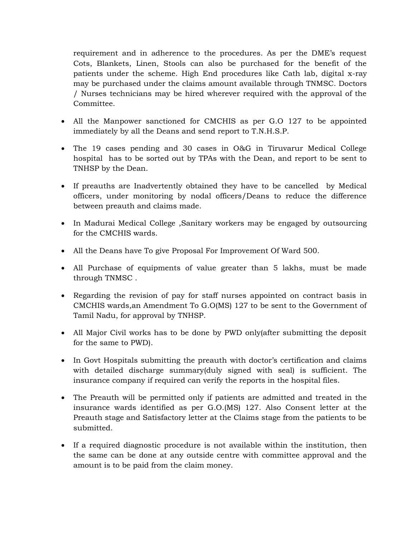requirement and in adherence to the procedures. As per the DME's request Cots, Blankets, Linen, Stools can also be purchased for the benefit of the patients under the scheme. High End procedures like Cath lab, digital x-ray may be purchased under the claims amount available through TNMSC. Doctors / Nurses technicians may be hired wherever required with the approval of the Committee.

- All the Manpower sanctioned for CMCHIS as per G.O 127 to be appointed immediately by all the Deans and send report to T.N.H.S.P.
- The 19 cases pending and 30 cases in O&G in Tiruvarur Medical College hospital has to be sorted out by TPAs with the Dean, and report to be sent to TNHSP by the Dean.
- If preauths are Inadvertently obtained they have to be cancelled by Medical officers, under monitoring by nodal officers/Deans to reduce the difference between preauth and claims made.
- In Madurai Medical College, Sanitary workers may be engaged by outsourcing for the CMCHIS wards.
- All the Deans have To give Proposal For Improvement Of Ward 500.
- All Purchase of equipments of value greater than 5 lakhs, must be made through TNMSC .
- Regarding the revision of pay for staff nurses appointed on contract basis in CMCHIS wards,an Amendment To G.O(MS) 127 to be sent to the Government of Tamil Nadu, for approval by TNHSP.
- All Major Civil works has to be done by PWD only(after submitting the deposit for the same to PWD).
- In Govt Hospitals submitting the preauth with doctor's certification and claims with detailed discharge summary(duly signed with seal) is sufficient. The insurance company if required can verify the reports in the hospital files.
- The Preauth will be permitted only if patients are admitted and treated in the insurance wards identified as per G.O.(MS) 127. Also Consent letter at the Preauth stage and Satisfactory letter at the Claims stage from the patients to be submitted.
- If a required diagnostic procedure is not available within the institution, then the same can be done at any outside centre with committee approval and the amount is to be paid from the claim money.